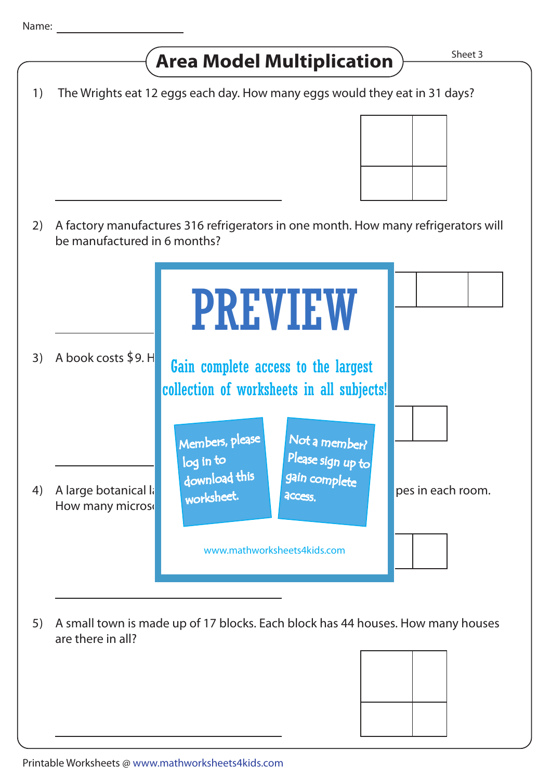Sheet 3 5) A small town is made up of 17 blocks. Each block has 44 houses. How many houses are there in all? **Area Model Multiplication** 1) The Wrights eat 12 eggs each day. How many eggs would they eat in 31 days? A factory manufactures 316 refrigerators in one month. How many refrigerators will 2) be manufactured in 6 months? 3) A book costs  $$9. H$  Gain complete access to the largest 4) A large botanical laboratory has 8 rooms. There are 12 microscopes in each room. How many micros 3) A book costs  $$9. H$ PREVIEW www.mathworksheets4kids.com Members, please download this worksheet. log in to Not a member? gain complete Please sign up to **access** collection of worksheets in all subjects!